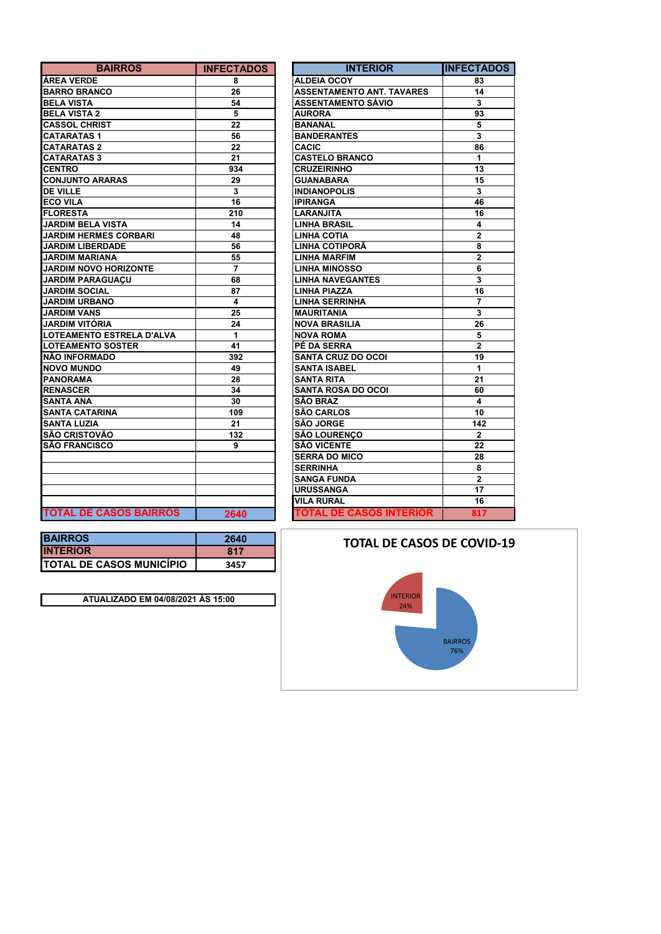| <b>BAIRROS</b>                | <b>INFECTADOS</b> | <b>INTERIOR</b>                  | <b>INFECTA</b>          |
|-------------------------------|-------------------|----------------------------------|-------------------------|
| <b>ÁREA VERDE</b>             | 8                 | <b>ALDEIA OCOY</b>               | 83                      |
| <b>BARRO BRANCO</b>           | 26                | <b>ASSENTAMENTO ANT. TAVARES</b> | 14                      |
| <b>BELA VISTA</b>             | 54                | <b>ASSENTAMENTO SÁVIO</b>        | 3                       |
| <b>BELA VISTA 2</b>           | 5                 | <b>AURORA</b>                    | 93                      |
| <b>CASSOL CHRIST</b>          | 22                | <b>BANANAL</b>                   | 5                       |
| <b>CATARATAS1</b>             | 56                | <b>BANDERANTES</b>               | $\mathbf 3$             |
| <b>CATARATAS 2</b>            | 22                | <b>CACIC</b>                     | 86                      |
| <b>CATARATAS 3</b>            | 21                | <b>CASTELO BRANCO</b>            | 1                       |
| <b>CENTRO</b>                 | 934               | <b>CRUZEIRINHO</b>               | 13                      |
| <b>CONJUNTO ARARAS</b>        | 29                | <b>GUANABARA</b>                 | 15                      |
| <b>DE VILLE</b>               | 3                 | <b>INDIANOPOLIS</b>              | 3                       |
| <b>ECO VILA</b>               | 16                | <b>IPIRANGA</b>                  | 46                      |
| <b>FLORESTA</b>               | 210               | <b>LARANJITA</b>                 | 16                      |
| <b>JARDIM BELA VISTA</b>      | 14                | <b>LINHA BRASIL</b>              | 4                       |
| <b>JARDIM HERMES CORBARI</b>  | 48                | <b>LINHA COTIA</b>               | $\mathbf{2}$            |
| <b>JARDIM LIBERDADE</b>       | 56                | <b>LINHA COTIPORÃ</b>            | 8                       |
| <b>JARDIM MARIANA</b>         | 55                | <b>LINHA MARFIM</b>              | $\overline{2}$          |
| <b>JARDIM NOVO HORIZONTE</b>  | $\overline{7}$    | <b>LINHA MINOSSO</b>             | 6                       |
| <b>JARDIM PARAGUAÇU</b>       | 68                | <b>LINHA NAVEGANTES</b>          | $\overline{\mathbf{3}}$ |
| <b>JARDIM SOCIAL</b>          | 87                | <b>LINHA PIAZZA</b>              | 16                      |
| <b>JARDIM URBANO</b>          | 4                 | <b>LINHA SERRINHA</b>            | $\overline{7}$          |
| <b>JARDIM VANS</b>            | 25                | <b>MAURITANIA</b>                | 3                       |
| <b>JARDIM VITÓRIA</b>         | 24                | <b>NOVA BRASILIA</b>             | 26                      |
| LOTEAMENTO ESTRELA D'ALVA     | 1                 | <b>NOVA ROMA</b>                 | 5                       |
| <b>LOTEAMENTO SOSTER</b>      | 41                | PÉ DA SERRA                      | $\mathbf{2}$            |
| <b>NÃO INFORMADO</b>          | 392               | <b>SANTA CRUZ DO OCOI</b>        | $\overline{19}$         |
| <b>NOVO MUNDO</b>             | 49                | <b>SANTA ISABEL</b>              | $\mathbf{1}$            |
| <b>PANORAMA</b>               | 28                | <b>SANTA RITA</b>                | 21                      |
| <b>RENASCER</b>               | 34                | <b>SANTA ROSA DO OCOI</b>        | 60                      |
| <b>SANTA ANA</b>              | 30                | <b>SÃO BRAZ</b>                  | 4                       |
| <b>SANTA CATARINA</b>         | 109               | <b>SÃO CARLOS</b>                | 10                      |
| <b>SANTA LUZIA</b>            | 21                | <b>SÃO JORGE</b>                 | 142                     |
| <b>SÃO CRISTOVÃO</b>          | 132               | <b>SÃO LOURENCO</b>              | $\overline{2}$          |
| <b>SÃO FRANCISCO</b>          | 9                 | <b>SÃO VICENTE</b>               | 22                      |
|                               |                   | <b>SERRA DO MICO</b>             | 28                      |
|                               |                   | <b>SERRINHA</b>                  | 8                       |
|                               |                   | <b>SANGA FUNDA</b>               | $\mathbf{2}$            |
|                               |                   | <b>URUSSANGA</b>                 | 17                      |
|                               |                   | <b>VILA RURAL</b>                | $\overline{16}$         |
| <b>TOTAL DE CASOS BAIRROS</b> | 2640              | <b>TOTAL DE CASOS INTERIOR</b>   | 817                     |

| <b>INFECTADOS</b> | <b>INTERIOR</b>                  | <b>INFECTADOS</b> |
|-------------------|----------------------------------|-------------------|
| 8                 | <b>ALDEIA OCOY</b>               | 83                |
| 26                | <b>ASSENTAMENTO ANT. TAVARES</b> | 14                |
| 54                | <b>ASSENTAMENTO SÁVIO</b>        | 3                 |
| 5                 | <b>AURORA</b>                    | 93                |
| 22                | <b>BANANAL</b>                   | 5                 |
| 56                | <b>BANDERANTES</b>               | 3                 |
| 22                | <b>CACIC</b>                     | 86                |
| 21                | <b>CASTELO BRANCO</b>            | 1                 |
| 934               | <b>CRUZEIRINHO</b>               | 13                |
| 29                | <b>GUANABARA</b>                 | 15                |
| 3                 | <b>INDIANOPOLIS</b>              | 3                 |
| 16                | <b>IPIRANGA</b>                  | 46                |
| 210               | LARANJITA                        | 16                |
| 14                | <b>LINHA BRASIL</b>              | 4                 |
| 48                | <b>LINHA COTIA</b>               | $\overline{2}$    |
| 56                | LINHA COTIPORA                   | 8                 |
| 55                | <b>LINHA MARFIM</b>              | $\overline{2}$    |
| $\overline{7}$    | <b>LINHA MINOSSO</b>             | 6                 |
| 68                | <b>LINHA NAVEGANTES</b>          | 3                 |
| 87                | <b>LINHA PIAZZA</b>              | 16                |
| 4                 | <b>LINHA SERRINHA</b>            | $\overline{7}$    |
| 25                | <b>MAURITANIA</b>                | 3                 |
| 24                | <b>NOVA BRASILIA</b>             | 26                |
| 1                 | <b>NOVA ROMA</b>                 | 5                 |
| 41                | <b>PÉ DA SERRA</b>               | $\overline{2}$    |
| 392               | <b>SANTA CRUZ DO OCOI</b>        | 19                |
| 49                | <b>SANTA ISABEL</b>              | 1                 |
| 28                | <b>SANTA RITA</b>                | 21                |
| 34                | <b>SANTA ROSA DO OCOI</b>        | 60                |
| 30                | <b>SÃO BRAZ</b>                  | 4                 |
| 109               | <b>SÃO CARLOS</b>                | 10                |
| 21                | <b>SÃO JORGE</b>                 | 142               |
| 132               | <b>SÃO LOURENCO</b>              | $\overline{2}$    |
| 9                 | <b>SÃO VICENTE</b>               | 22                |
|                   | <b>SERRA DO MICO</b>             | 28                |
|                   | <b>SERRINHA</b>                  | 8                 |
|                   | <b>SANGA FUNDA</b>               | $\overline{2}$    |
|                   | <b>URUSSANGA</b>                 | 17                |
|                   | <b>VILA RURAL</b>                | 16                |
| 2640              | <b>TOTAL DE CASOS INTERIOR</b>   | 817               |
|                   |                                  |                   |

| <b>BAIRROS</b>                   | 2640 |
|----------------------------------|------|
| <b>INTERIOR</b>                  | 817  |
| <b>ITOTAL DE CASOS MUNICÍPIO</b> | 3457 |

**ATUALIZADO EM 04/08/2021 ÀS 15:00**

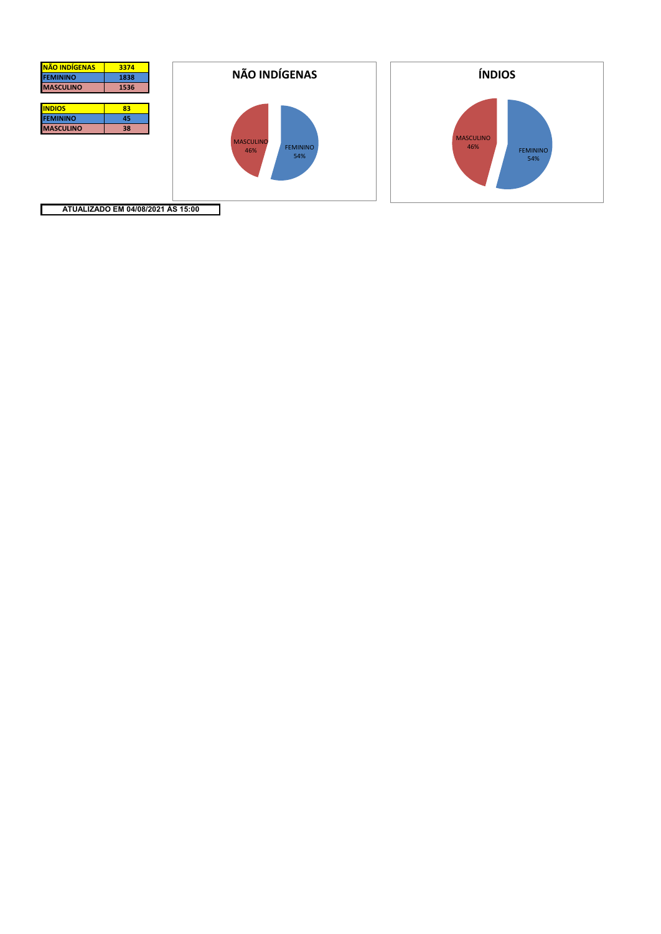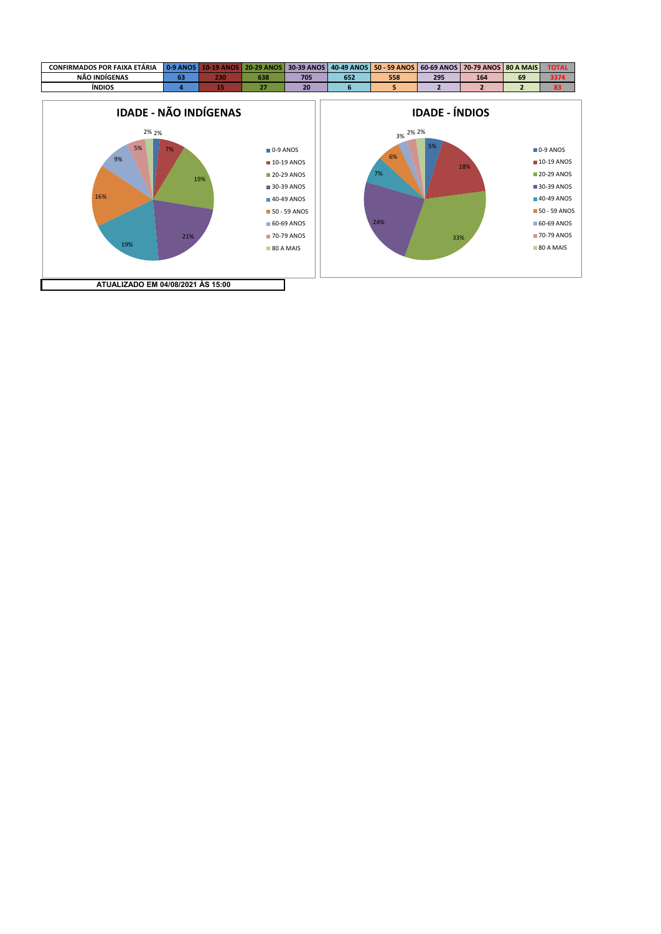



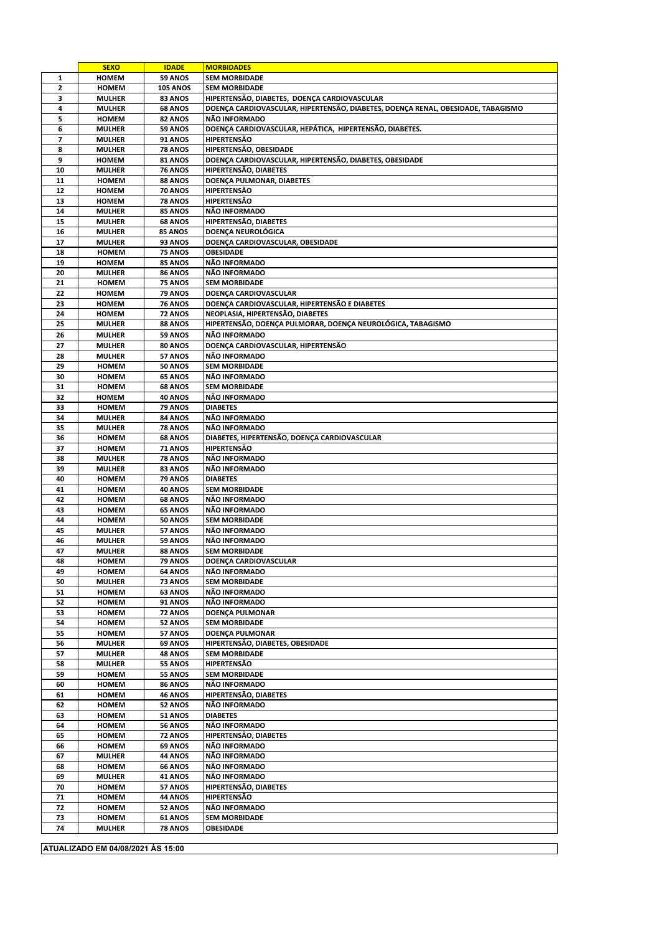|                | <b>SEXO</b>                       | <b>IDADE</b>       | <b>MORBIDADES</b>                                                                |  |  |  |
|----------------|-----------------------------------|--------------------|----------------------------------------------------------------------------------|--|--|--|
| 1              | <b>HOMEM</b>                      | 59 ANOS            | <b>SEM MORBIDADE</b>                                                             |  |  |  |
| $\mathbf{z}$   | <b>HOMEM</b>                      | <b>105 ANOS</b>    | <b>SEM MORBIDADE</b>                                                             |  |  |  |
| 3              | <b>MULHER</b>                     | 83 ANOS            | HIPERTENSÃO, DIABETES, DOENÇA CARDIOVASCULAR                                     |  |  |  |
| 4              | <b>MULHER</b>                     | <b>68 ANOS</b>     | DOENÇA CARDIOVASCULAR, HIPERTENSÃO, DIABETES, DOENÇA RENAL, OBESIDADE, TABAGISMO |  |  |  |
| 5              | <b>HOMEM</b>                      | 82 ANOS            | NÃO INFORMADO                                                                    |  |  |  |
| 6              | <b>MULHER</b>                     | 59 ANOS            | DOENCA CARDIOVASCULAR, HEPÁTICA, HIPERTENSÃO, DIABETES,                          |  |  |  |
| $\overline{7}$ | <b>MULHER</b>                     | <b>91 ANOS</b>     | <b>HIPERTENSÃO</b>                                                               |  |  |  |
| 8              | <b>MULHER</b>                     | <b>78 ANOS</b>     | HIPERTENSÃO, OBESIDADE                                                           |  |  |  |
| 9              | <b>HOMEM</b>                      | 81 ANOS            | DOENÇA CARDIOVASCULAR, HIPERTENSÃO, DIABETES, OBESIDADE                          |  |  |  |
| 10             | <b>MULHER</b>                     |                    | HIPERTENSÃO, DIABETES                                                            |  |  |  |
|                |                                   | <b>76 ANOS</b>     |                                                                                  |  |  |  |
| 11             | <b>HOMEM</b>                      | 88 ANOS            | DOENÇA PULMONAR, DIABETES                                                        |  |  |  |
| 12             | <b>HOMEM</b>                      | <b>70 ANOS</b>     | <b>HIPERTENSÃO</b>                                                               |  |  |  |
| 13             | <b>HOMEM</b>                      | <b>78 ANOS</b>     | <b>HIPERTENSÃO</b>                                                               |  |  |  |
| 14             | <b>MULHER</b>                     | 85 ANOS            | NÃO INFORMADO                                                                    |  |  |  |
| 15             | <b>MULHER</b>                     | <b>68 ANOS</b>     | HIPERTENSÃO, DIABETES                                                            |  |  |  |
| 16             | <b>MULHER</b>                     | 85 ANOS            | DOENÇA NEUROLÓGICA                                                               |  |  |  |
| 17             | <b>MULHER</b>                     | 93 ANOS            | DOENÇA CARDIOVASCULAR, OBESIDADE                                                 |  |  |  |
| 18             | <b>HOMEM</b>                      | 75 ANOS            | <b>OBESIDADE</b>                                                                 |  |  |  |
| 19             | <b>HOMEM</b>                      | 85 ANOS            | NÃO INFORMADO                                                                    |  |  |  |
| 20             | <b>MULHER</b>                     | 86 ANOS            | NÃO INFORMADO                                                                    |  |  |  |
| 21             | <b>HOMEM</b>                      | 75 ANOS            | <b>SEM MORBIDADE</b>                                                             |  |  |  |
| 22             | <b>HOMEM</b>                      | 79 ANOS            | DOENÇA CARDIOVASCULAR                                                            |  |  |  |
| 23             | <b>HOMEM</b>                      | <b>76 ANOS</b>     | DOENÇA CARDIOVASCULAR, HIPERTENSÃO E DIABETES                                    |  |  |  |
| 24             | <b>HOMEM</b>                      | 72 ANOS            | NEOPLASIA, HIPERTENSÃO, DIABETES                                                 |  |  |  |
| 25             | <b>MULHER</b>                     | 88 ANOS            | HIPERTENSÃO, DOENÇA PULMORAR, DOENÇA NEUROLÓGICA, TABAGISMO                      |  |  |  |
| 26             | <b>MULHER</b>                     | 59 ANOS            | NÃO INFORMADO                                                                    |  |  |  |
| 27             | <b>MULHER</b>                     | 80 ANOS            | DOENÇA CARDIOVASCULAR, HIPERTENSÃO                                               |  |  |  |
| 28             | <b>MULHER</b>                     | 57 ANOS            | NÃO INFORMADO                                                                    |  |  |  |
| 29             | <b>HOMEM</b>                      | <b>50 ANOS</b>     | <b>SEM MORBIDADE</b>                                                             |  |  |  |
| 30             | <b>HOMEM</b>                      | <b>65 ANOS</b>     | NÃO INFORMADO                                                                    |  |  |  |
| 31             | <b>HOMEM</b>                      | <b>68 ANOS</b>     | <b>SEM MORBIDADE</b>                                                             |  |  |  |
| 32             | <b>HOMEM</b>                      | 40 ANOS            | NÃO INFORMADO                                                                    |  |  |  |
|                |                                   |                    |                                                                                  |  |  |  |
| 33             | <b>HOMEM</b>                      | 79 ANOS            | <b>DIABETES</b>                                                                  |  |  |  |
| 34             | <b>MULHER</b>                     | 84 ANOS            | NÃO INFORMADO                                                                    |  |  |  |
| 35             | <b>MULHER</b>                     | <b>78 ANOS</b>     | NÃO INFORMADO                                                                    |  |  |  |
| 36             | <b>HOMEM</b>                      | 68 ANOS            | DIABETES, HIPERTENSÃO, DOENÇA CARDIOVASCULAR                                     |  |  |  |
| 37             | <b>HOMEM</b>                      | <b>71 ANOS</b>     | HIPERTENSÃO                                                                      |  |  |  |
| 38             | <b>MULHER</b>                     | 78 ANOS            | NÃO INFORMADO                                                                    |  |  |  |
| 39             | <b>MULHER</b>                     | 83 ANOS            | NÃO INFORMADO                                                                    |  |  |  |
| 40             | <b>HOMEM</b>                      | <b>79 ANOS</b>     | <b>DIABETES</b>                                                                  |  |  |  |
| 41             | <b>HOMEM</b>                      | 40 ANOS            | <b>SEM MORBIDADE</b>                                                             |  |  |  |
| 42             | <b>HOMEM</b>                      | <b>68 ANOS</b>     | NÃO INFORMADO                                                                    |  |  |  |
| 43             | <b>HOMEM</b>                      | <b>65 ANOS</b>     | NÃO INFORMADO                                                                    |  |  |  |
| 44             | <b>HOMEM</b>                      | 50 ANOS            | <b>SEM MORBIDADE</b>                                                             |  |  |  |
| 45             | <b>MULHER</b>                     | 57 ANOS            | NÃO INFORMADO                                                                    |  |  |  |
| 46             | <b>MULHER</b>                     | 59 ANOS            | NÃO INFORMADO                                                                    |  |  |  |
| 47             | <b>MULHER</b>                     | 88 ANOS            | <b>SEM MORBIDADE</b>                                                             |  |  |  |
| 48             | <b>HOMEM</b>                      | 79 ANOS            | DOENÇA CARDIOVASCULAR                                                            |  |  |  |
| 49             | <b>HOMEM</b>                      | 64 ANOS            | NÃO INFORMADO                                                                    |  |  |  |
| 50             | <b>MULHER</b>                     | 73 ANOS            | <b>SEM MORBIDADE</b>                                                             |  |  |  |
| 51             | <b>HOMEM</b>                      | <b>63 ANOS</b>     | NÃO INFORMADO                                                                    |  |  |  |
| 52             | <b>HOMEM</b>                      | 91 ANOS            | NÃO INFORMADO                                                                    |  |  |  |
| 53             | <b>HOMEM</b>                      | 72 ANOS            | DOENÇA PULMONAR                                                                  |  |  |  |
| 54             | <b>HOMEM</b>                      | 52 ANOS            | <b>SEM MORBIDADE</b>                                                             |  |  |  |
| 55             | <b>HOMEM</b>                      | 57 ANOS            | DOENÇA PULMONAR                                                                  |  |  |  |
| 56             | <b>MULHER</b>                     | 69 ANOS            | HIPERTENSÃO, DIABETES, OBESIDADE                                                 |  |  |  |
| 57             | <b>MULHER</b>                     | <b>48 ANOS</b>     | <b>SEM MORBIDADE</b>                                                             |  |  |  |
| 58             | <b>MULHER</b>                     | 55 ANOS            | HIPERTENSÃO                                                                      |  |  |  |
| 59             | <b>HOMEM</b>                      | 55 ANOS            | <b>SEM MORBIDADE</b>                                                             |  |  |  |
| 60             | <b>HOMEM</b>                      | <b>86 ANOS</b>     | NÃO INFORMADO                                                                    |  |  |  |
| 61             | <b>HOMEM</b>                      | <b>46 ANOS</b>     | HIPERTENSÃO, DIABETES                                                            |  |  |  |
| 62             | <b>HOMEM</b>                      | 52 ANOS            | NÃO INFORMADO                                                                    |  |  |  |
| 63             | <b>HOMEM</b>                      | 51 ANOS            | <b>DIABETES</b>                                                                  |  |  |  |
| 64             | <b>HOMEM</b>                      | 56 ANOS            | NÃO INFORMADO                                                                    |  |  |  |
| 65             | <b>HOMEM</b>                      | 72 ANOS            | HIPERTENSÃO, DIABETES                                                            |  |  |  |
| 66             | <b>HOMEM</b>                      | <b>69 ANOS</b>     | NÃO INFORMADO                                                                    |  |  |  |
|                |                                   |                    | NÃO INFORMADO                                                                    |  |  |  |
| 67<br>68       | <b>MULHER</b><br><b>HOMEM</b>     | 44 ANOS<br>66 ANOS | NÃO INFORMADO                                                                    |  |  |  |
|                |                                   |                    | NÃO INFORMADO                                                                    |  |  |  |
| 69             | <b>MULHER</b>                     | 41 ANOS            |                                                                                  |  |  |  |
| 70             | <b>HOMEM</b>                      | 57 ANOS            | HIPERTENSÃO, DIABETES                                                            |  |  |  |
| 71             | <b>HOMEM</b>                      | 44 ANOS            | HIPERTENSÃO                                                                      |  |  |  |
| 72             | <b>HOMEM</b>                      | 52 ANOS            | NÃO INFORMADO                                                                    |  |  |  |
| 73             | <b>HOMEM</b>                      | <b>61 ANOS</b>     | <b>SEM MORBIDADE</b>                                                             |  |  |  |
| 74             | <b>MULHER</b>                     | <b>78 ANOS</b>     | <b>OBESIDADE</b>                                                                 |  |  |  |
|                |                                   |                    |                                                                                  |  |  |  |
|                | ATUALIZADO EM 04/08/2021 ÀS 15:00 |                    |                                                                                  |  |  |  |